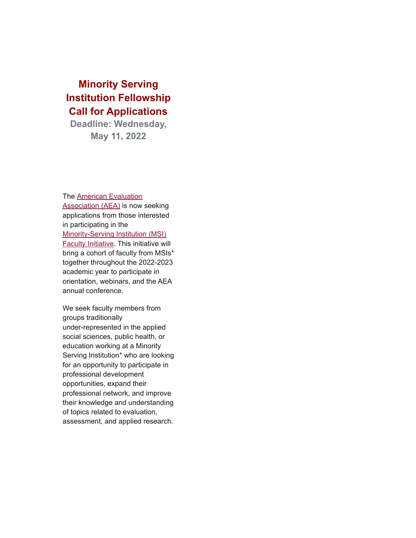## **Minority Serving Institution Fellowship Call for Applications**

**Deadline: Wednesday, May 11, 2022**

The [American Evaluation](https://nam04.safelinks.protection.outlook.com/?url=https%3A%2F%2Fr20.rs6.net%2Ftn.jsp%3Ff%3D0019znqCZJZztXntkKidruvyhkRwPw8qXtrPSYpmnna1V5SAdBRGmH14mJG4AsaAzg26FqaY8tsOeJR679a9l759DBTV6uRriL_pWGyydzgnvDwwjLSygYTtTNqxtY4lvYHBOmWm1KYoHQ%3D%26c%3DJC0buXMM0j_RZ5uAMpSPc4LidNSTJev4V0BkymEiwk9OPal7l4lLYw%3D%3D%26ch%3DCOv8L-MmbF9EBFXV8gwsR1vEHrL9AfSWyrHY97xZstqmrlzl_TeEMQ%3D%3D&data=04%7C01%7Cdataya.resenois%40bison.howard.edu%7C397dad2e0c144f84d44108da18e2c24e%7C02ac0c07b75f46bf9b133630ba94bb69%7C0%7C0%7C637849659440494572%7CUnknown%7CTWFpbGZsb3d8eyJWIjoiMC4wLjAwMDAiLCJQIjoiV2luMzIiLCJBTiI6Ik1haWwiLCJXVCI6Mn0%3D%7C3000&sdata=3sEStpyW9%2BO0bDVNGHqM3XO7TB9%2B2AabbdsWjOnPHUs%3D&reserved=0) [Association \(AEA\)](https://nam04.safelinks.protection.outlook.com/?url=https%3A%2F%2Fr20.rs6.net%2Ftn.jsp%3Ff%3D0019znqCZJZztXntkKidruvyhkRwPw8qXtrPSYpmnna1V5SAdBRGmH14mJG4AsaAzg26FqaY8tsOeJR679a9l759DBTV6uRriL_pWGyydzgnvDwwjLSygYTtTNqxtY4lvYHBOmWm1KYoHQ%3D%26c%3DJC0buXMM0j_RZ5uAMpSPc4LidNSTJev4V0BkymEiwk9OPal7l4lLYw%3D%3D%26ch%3DCOv8L-MmbF9EBFXV8gwsR1vEHrL9AfSWyrHY97xZstqmrlzl_TeEMQ%3D%3D&data=04%7C01%7Cdataya.resenois%40bison.howard.edu%7C397dad2e0c144f84d44108da18e2c24e%7C02ac0c07b75f46bf9b133630ba94bb69%7C0%7C0%7C637849659440494572%7CUnknown%7CTWFpbGZsb3d8eyJWIjoiMC4wLjAwMDAiLCJQIjoiV2luMzIiLCJBTiI6Ik1haWwiLCJXVCI6Mn0%3D%7C3000&sdata=3sEStpyW9%2BO0bDVNGHqM3XO7TB9%2B2AabbdsWjOnPHUs%3D&reserved=0) is now seeking applications from those interested in participating in the [Minority-Serving Institution \(MSI\)](https://nam04.safelinks.protection.outlook.com/?url=https%3A%2F%2Fr20.rs6.net%2Ftn.jsp%3Ff%3D0019znqCZJZztXntkKidruvyhkRwPw8qXtrPSYpmnna1V5SAdBRGmH14udmgDF35yCJpLE-jNjz20ztngbk_sC0I-GEDYKO0a9XaK7JJbC64bRFGL_CopoZFdmBOq9I1LoIn2Tkdd3PF1nECabVhs8s0gyvUQDD6Z5qRlJFFog_9gLWINp_T8qwM3AZuHRDgRqvm3orIAkC3NXeJWLXWEGxpPuQt8RLWquA%26c%3DJC0buXMM0j_RZ5uAMpSPc4LidNSTJev4V0BkymEiwk9OPal7l4lLYw%3D%3D%26ch%3DCOv8L-MmbF9EBFXV8gwsR1vEHrL9AfSWyrHY97xZstqmrlzl_TeEMQ%3D%3D&data=04%7C01%7Cdataya.resenois%40bison.howard.edu%7C397dad2e0c144f84d44108da18e2c24e%7C02ac0c07b75f46bf9b133630ba94bb69%7C0%7C0%7C637849659440494572%7CUnknown%7CTWFpbGZsb3d8eyJWIjoiMC4wLjAwMDAiLCJQIjoiV2luMzIiLCJBTiI6Ik1haWwiLCJXVCI6Mn0%3D%7C3000&sdata=t4JOr9jw2Gcze6WCKt7QTVfX4eQPuel2dM3Pv5iGgC4%3D&reserved=0) [Faculty Initiative.](https://nam04.safelinks.protection.outlook.com/?url=https%3A%2F%2Fr20.rs6.net%2Ftn.jsp%3Ff%3D0019znqCZJZztXntkKidruvyhkRwPw8qXtrPSYpmnna1V5SAdBRGmH14udmgDF35yCJpLE-jNjz20ztngbk_sC0I-GEDYKO0a9XaK7JJbC64bRFGL_CopoZFdmBOq9I1LoIn2Tkdd3PF1nECabVhs8s0gyvUQDD6Z5qRlJFFog_9gLWINp_T8qwM3AZuHRDgRqvm3orIAkC3NXeJWLXWEGxpPuQt8RLWquA%26c%3DJC0buXMM0j_RZ5uAMpSPc4LidNSTJev4V0BkymEiwk9OPal7l4lLYw%3D%3D%26ch%3DCOv8L-MmbF9EBFXV8gwsR1vEHrL9AfSWyrHY97xZstqmrlzl_TeEMQ%3D%3D&data=04%7C01%7Cdataya.resenois%40bison.howard.edu%7C397dad2e0c144f84d44108da18e2c24e%7C02ac0c07b75f46bf9b133630ba94bb69%7C0%7C0%7C637849659440494572%7CUnknown%7CTWFpbGZsb3d8eyJWIjoiMC4wLjAwMDAiLCJQIjoiV2luMzIiLCJBTiI6Ik1haWwiLCJXVCI6Mn0%3D%7C3000&sdata=t4JOr9jw2Gcze6WCKt7QTVfX4eQPuel2dM3Pv5iGgC4%3D&reserved=0) This initiative will bring a cohort of faculty from MSIs\* together throughout the 2022-2023 academic year to participate in orientation, webinars, and the AEA annual conference.

We seek faculty members from groups traditionally under-represented in the applied social sciences, public health, or education working at a Minority Serving Institution<sup>\*</sup> who are looking for an opportunity to participate in professional development opportunities, expand their professional network, and improve their knowledge and understanding of topics related to evaluation, assessment, and applied research.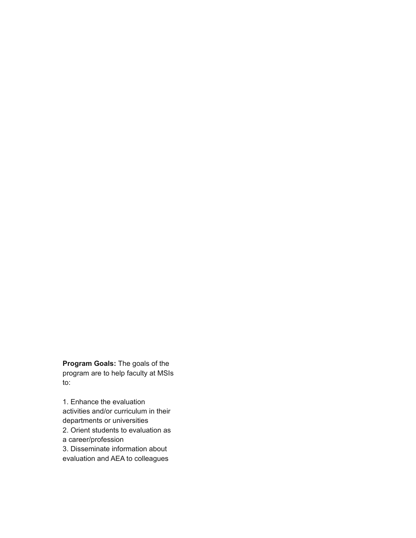**Program Goals:** The goals of the program are to help faculty at MSIs to:

1. Enhance the evaluation activities and/or curriculum in their departments or universities 2. Orient students to evaluation as a career/profession 3. Disseminate information about evaluation and AEA to colleagues